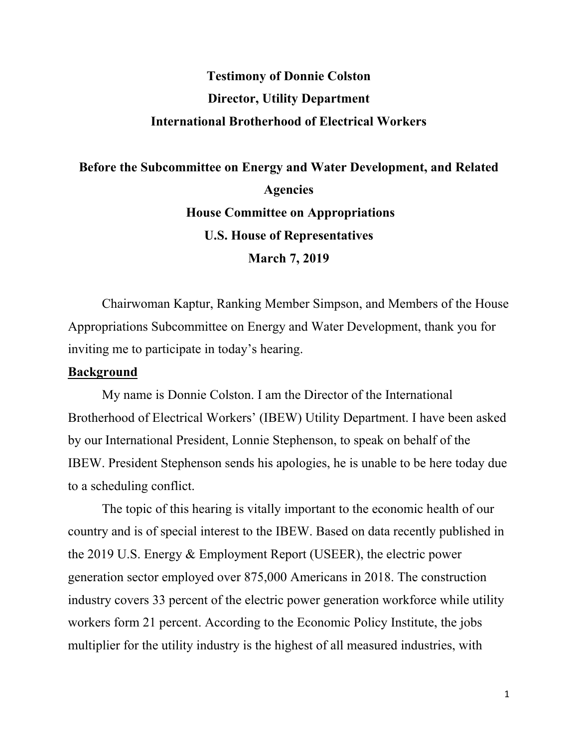# **Testimony of Donnie Colston Director, Utility Department International Brotherhood of Electrical Workers**

# **Before the Subcommittee on Energy and Water Development, and Related Agencies House Committee on Appropriations U.S. House of Representatives March 7, 2019**

Chairwoman Kaptur, Ranking Member Simpson, and Members of the House Appropriations Subcommittee on Energy and Water Development, thank you for inviting me to participate in today's hearing.

## **Background**

My name is Donnie Colston. I am the Director of the International Brotherhood of Electrical Workers' (IBEW) Utility Department. I have been asked by our International President, Lonnie Stephenson, to speak on behalf of the IBEW. President Stephenson sends his apologies, he is unable to be here today due to a scheduling conflict.

The topic of this hearing is vitally important to the economic health of our country and is of special interest to the IBEW. Based on data recently published in the 2019 U.S. Energy & Employment Report (USEER), the electric power generation sector employed over 875,000 Americans in 2018. The construction industry covers 33 percent of the electric power generation workforce while utility workers form 21 percent. According to the Economic Policy Institute, the jobs multiplier for the utility industry is the highest of all measured industries, with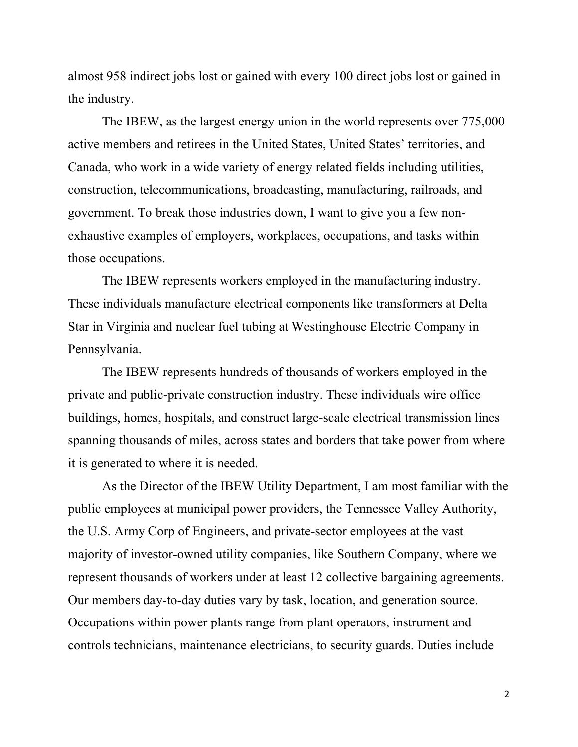almost 958 indirect jobs lost or gained with every 100 direct jobs lost or gained in the industry.

The IBEW, as the largest energy union in the world represents over 775,000 active members and retirees in the United States, United States' territories, and Canada, who work in a wide variety of energy related fields including utilities, construction, telecommunications, broadcasting, manufacturing, railroads, and government. To break those industries down, I want to give you a few nonexhaustive examples of employers, workplaces, occupations, and tasks within those occupations.

The IBEW represents workers employed in the manufacturing industry. These individuals manufacture electrical components like transformers at Delta Star in Virginia and nuclear fuel tubing at Westinghouse Electric Company in Pennsylvania.

The IBEW represents hundreds of thousands of workers employed in the private and public-private construction industry. These individuals wire office buildings, homes, hospitals, and construct large-scale electrical transmission lines spanning thousands of miles, across states and borders that take power from where it is generated to where it is needed.

As the Director of the IBEW Utility Department, I am most familiar with the public employees at municipal power providers, the Tennessee Valley Authority, the U.S. Army Corp of Engineers, and private-sector employees at the vast majority of investor-owned utility companies, like Southern Company, where we represent thousands of workers under at least 12 collective bargaining agreements. Our members day-to-day duties vary by task, location, and generation source. Occupations within power plants range from plant operators, instrument and controls technicians, maintenance electricians, to security guards. Duties include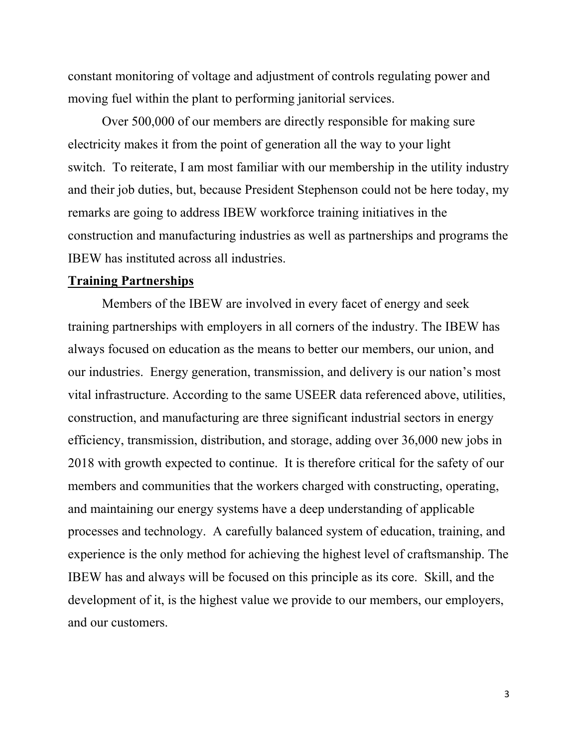constant monitoring of voltage and adjustment of controls regulating power and moving fuel within the plant to performing janitorial services.

Over 500,000 of our members are directly responsible for making sure electricity makes it from the point of generation all the way to your light switch. To reiterate, I am most familiar with our membership in the utility industry and their job duties, but, because President Stephenson could not be here today, my remarks are going to address IBEW workforce training initiatives in the construction and manufacturing industries as well as partnerships and programs the IBEW has instituted across all industries.

#### **Training Partnerships**

Members of the IBEW are involved in every facet of energy and seek training partnerships with employers in all corners of the industry. The IBEW has always focused on education as the means to better our members, our union, and our industries. Energy generation, transmission, and delivery is our nation's most vital infrastructure. According to the same USEER data referenced above, utilities, construction, and manufacturing are three significant industrial sectors in energy efficiency, transmission, distribution, and storage, adding over 36,000 new jobs in 2018 with growth expected to continue. It is therefore critical for the safety of our members and communities that the workers charged with constructing, operating, and maintaining our energy systems have a deep understanding of applicable processes and technology. A carefully balanced system of education, training, and experience is the only method for achieving the highest level of craftsmanship. The IBEW has and always will be focused on this principle as its core. Skill, and the development of it, is the highest value we provide to our members, our employers, and our customers.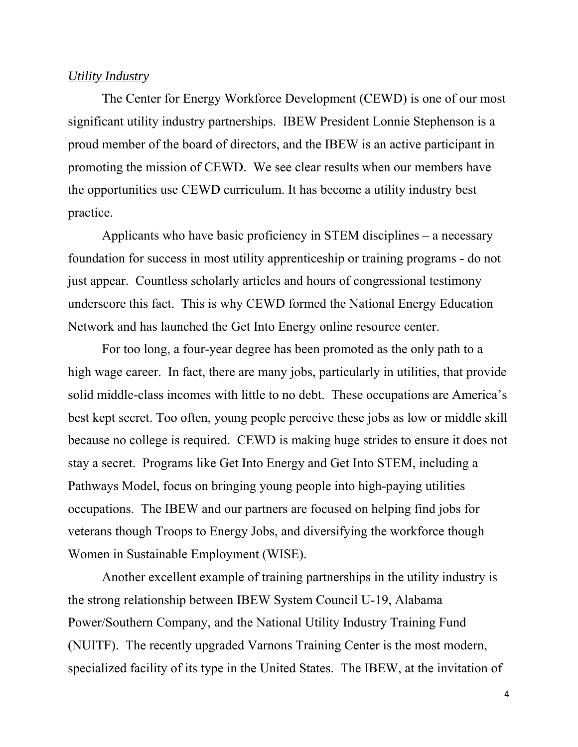### *Utility Industry*

The Center for Energy Workforce Development (CEWD) is one of our most significant utility industry partnerships. IBEW President Lonnie Stephenson is a proud member of the board of directors, and the IBEW is an active participant in promoting the mission of CEWD. We see clear results when our members have the opportunities use CEWD curriculum. It has become a utility industry best practice.

Applicants who have basic proficiency in STEM disciplines – a necessary foundation for success in most utility apprenticeship or training programs - do not just appear. Countless scholarly articles and hours of congressional testimony underscore this fact. This is why CEWD formed the National Energy Education Network and has launched the Get Into Energy online resource center.

For too long, a four-year degree has been promoted as the only path to a high wage career. In fact, there are many jobs, particularly in utilities, that provide solid middle-class incomes with little to no debt. These occupations are America's best kept secret. Too often, young people perceive these jobs as low or middle skill because no college is required. CEWD is making huge strides to ensure it does not stay a secret. Programs like Get Into Energy and Get Into STEM, including a Pathways Model, focus on bringing young people into high-paying utilities occupations. The IBEW and our partners are focused on helping find jobs for veterans though Troops to Energy Jobs, and diversifying the workforce though Women in Sustainable Employment (WISE).

Another excellent example of training partnerships in the utility industry is the strong relationship between IBEW System Council U-19, Alabama Power/Southern Company, and the National Utility Industry Training Fund (NUITF). The recently upgraded Varnons Training Center is the most modern, specialized facility of its type in the United States. The IBEW, at the invitation of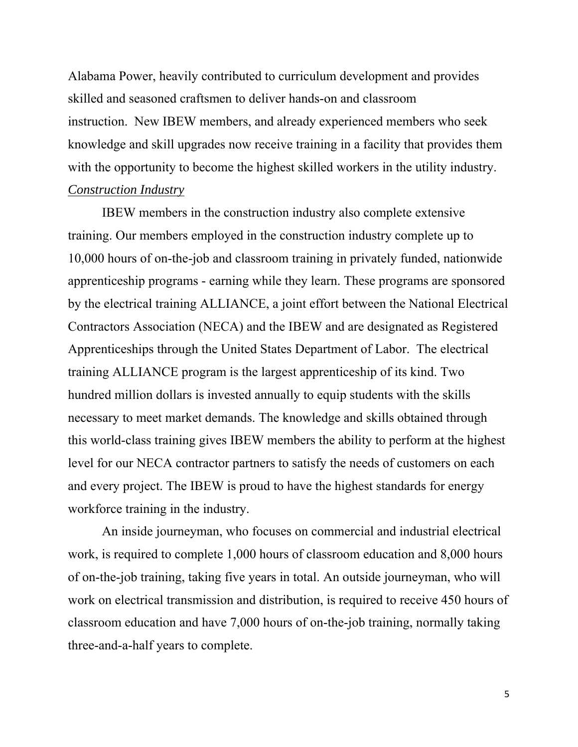Alabama Power, heavily contributed to curriculum development and provides skilled and seasoned craftsmen to deliver hands-on and classroom instruction. New IBEW members, and already experienced members who seek knowledge and skill upgrades now receive training in a facility that provides them with the opportunity to become the highest skilled workers in the utility industry. *Construction Industry* 

IBEW members in the construction industry also complete extensive training. Our members employed in the construction industry complete up to 10,000 hours of on-the-job and classroom training in privately funded, nationwide apprenticeship programs - earning while they learn. These programs are sponsored by the electrical training ALLIANCE, a joint effort between the National Electrical Contractors Association (NECA) and the IBEW and are designated as Registered Apprenticeships through the United States Department of Labor. The electrical training ALLIANCE program is the largest apprenticeship of its kind. Two hundred million dollars is invested annually to equip students with the skills necessary to meet market demands. The knowledge and skills obtained through this world-class training gives IBEW members the ability to perform at the highest level for our NECA contractor partners to satisfy the needs of customers on each and every project. The IBEW is proud to have the highest standards for energy workforce training in the industry.

An inside journeyman, who focuses on commercial and industrial electrical work, is required to complete 1,000 hours of classroom education and 8,000 hours of on-the-job training, taking five years in total. An outside journeyman, who will work on electrical transmission and distribution, is required to receive 450 hours of classroom education and have 7,000 hours of on-the-job training, normally taking three-and-a-half years to complete.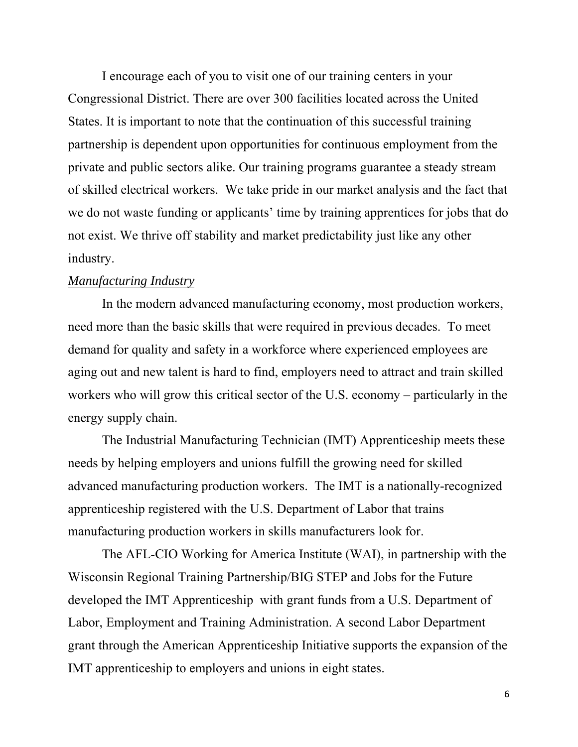I encourage each of you to visit one of our training centers in your Congressional District. There are over 300 facilities located across the United States. It is important to note that the continuation of this successful training partnership is dependent upon opportunities for continuous employment from the private and public sectors alike. Our training programs guarantee a steady stream of skilled electrical workers. We take pride in our market analysis and the fact that we do not waste funding or applicants' time by training apprentices for jobs that do not exist. We thrive off stability and market predictability just like any other industry.

#### *Manufacturing Industry*

In the modern advanced manufacturing economy, most production workers, need more than the basic skills that were required in previous decades. To meet demand for quality and safety in a workforce where experienced employees are aging out and new talent is hard to find, employers need to attract and train skilled workers who will grow this critical sector of the U.S. economy – particularly in the energy supply chain.

The Industrial Manufacturing Technician (IMT) Apprenticeship meets these needs by helping employers and unions fulfill the growing need for skilled advanced manufacturing production workers. The IMT is a nationally-recognized apprenticeship registered with the U.S. Department of Labor that trains manufacturing production workers in skills manufacturers look for.

The AFL-CIO Working for America Institute (WAI), in partnership with the Wisconsin Regional Training Partnership/BIG STEP and Jobs for the Future developed the IMT Apprenticeship with grant funds from a U.S. Department of Labor, Employment and Training Administration. A second Labor Department grant through the American Apprenticeship Initiative supports the expansion of the IMT apprenticeship to employers and unions in eight states.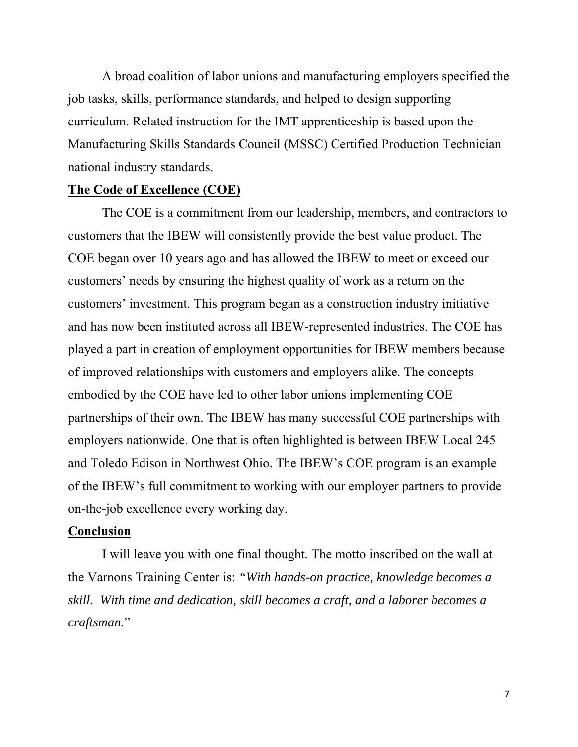A broad coalition of labor unions and manufacturing employers specified the job tasks, skills, performance standards, and helped to design supporting curriculum. Related instruction for the IMT apprenticeship is based upon the Manufacturing Skills Standards Council (MSSC) Certified Production Technician national industry standards.

### **The Code of Excellence (COE)**

The COE is a commitment from our leadership, members, and contractors to customers that the IBEW will consistently provide the best value product. The COE began over 10 years ago and has allowed the IBEW to meet or exceed our customers' needs by ensuring the highest quality of work as a return on the customers' investment. This program began as a construction industry initiative and has now been instituted across all IBEW-represented industries. The COE has played a part in creation of employment opportunities for IBEW members because of improved relationships with customers and employers alike. The concepts embodied by the COE have led to other labor unions implementing COE partnerships of their own. The IBEW has many successful COE partnerships with employers nationwide. One that is often highlighted is between IBEW Local 245 and Toledo Edison in Northwest Ohio. The IBEW's COE program is an example of the IBEW's full commitment to working with our employer partners to provide on-the-job excellence every working day.

### **Conclusion**

I will leave you with one final thought. The motto inscribed on the wall at the Varnons Training Center is: *"With hands-on practice, knowledge becomes a skill. With time and dedication, skill becomes a craft, and a laborer becomes a craftsman.*"